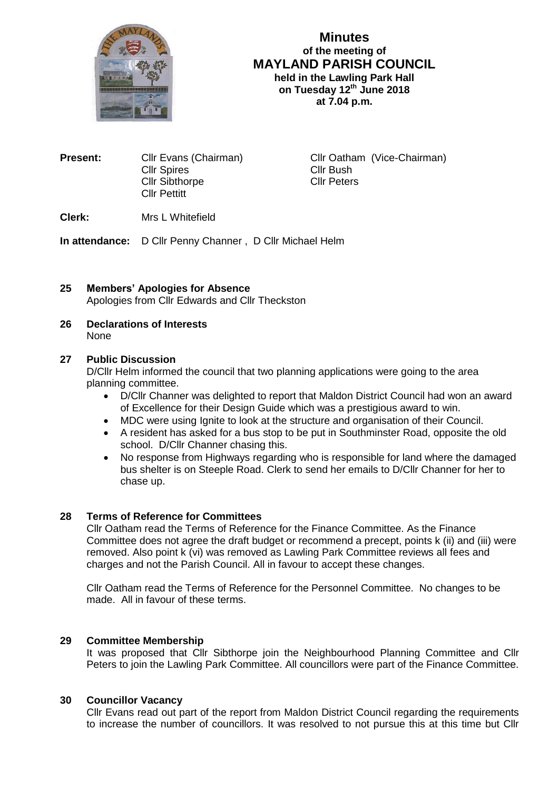

# **Minutes of the meeting of MAYLAND PARISH COUNCIL held in the Lawling Park Hall on Tuesday 12 th June 2018**

**at 7.04 p.m.**

| <b>Present:</b> | Cllr Evans (Chairman) |
|-----------------|-----------------------|
|                 | <b>Cllr Spires</b>    |
|                 | <b>Cllr Sibthorpe</b> |
|                 | <b>Cllr Pettitt</b>   |
|                 |                       |

**Cllr Oatham (Vice-Chairman)** Cllr Bush Cllr Peters

# **Clerk:** Mrs L Whitefield

**In attendance:** D Cllr Penny Channer , D Cllr Michael Helm

# **25 Members' Apologies for Absence** Apologies from Cllr Edwards and Cllr Theckston

#### **26 Declarations of Interests** None

## **27 Public Discussion**

D/Cllr Helm informed the council that two planning applications were going to the area planning committee.

- D/Cllr Channer was delighted to report that Maldon District Council had won an award of Excellence for their Design Guide which was a prestigious award to win.
- MDC were using Ignite to look at the structure and organisation of their Council.
- A resident has asked for a bus stop to be put in Southminster Road, opposite the old school. D/Cllr Channer chasing this.
- No response from Highways regarding who is responsible for land where the damaged bus shelter is on Steeple Road. Clerk to send her emails to D/Cllr Channer for her to chase up.

# **28 Terms of Reference for Committees**

Cllr Oatham read the Terms of Reference for the Finance Committee. As the Finance Committee does not agree the draft budget or recommend a precept, points k (ii) and (iii) were removed. Also point k (vi) was removed as Lawling Park Committee reviews all fees and charges and not the Parish Council. All in favour to accept these changes.

Cllr Oatham read the Terms of Reference for the Personnel Committee. No changes to be made. All in favour of these terms.

### **29 Committee Membership**

It was proposed that Cllr Sibthorpe join the Neighbourhood Planning Committee and Cllr Peters to join the Lawling Park Committee. All councillors were part of the Finance Committee.

### **30 Councillor Vacancy**

Cllr Evans read out part of the report from Maldon District Council regarding the requirements to increase the number of councillors. It was resolved to not pursue this at this time but Cllr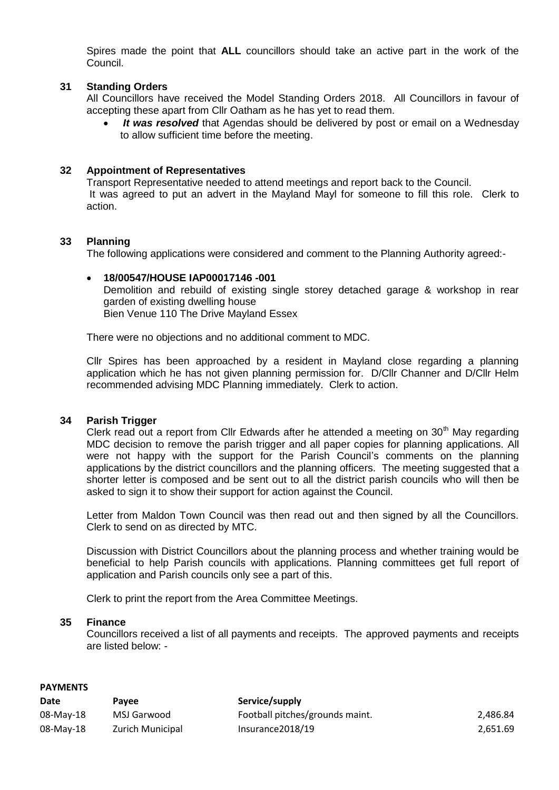Spires made the point that **ALL** councillors should take an active part in the work of the Council.

### **31 Standing Orders**

All Councillors have received the Model Standing Orders 2018. All Councillors in favour of accepting these apart from Cllr Oatham as he has yet to read them.

 *It was resolved* that Agendas should be delivered by post or email on a Wednesday to allow sufficient time before the meeting.

### **32 Appointment of Representatives**

Transport Representative needed to attend meetings and report back to the Council. It was agreed to put an advert in the Mayland Mayl for someone to fill this role. Clerk to action.

### **33 Planning**

The following applications were considered and comment to the Planning Authority agreed:-

### **18/00547/HOUSE IAP00017146 -001** Demolition and rebuild of existing single storey detached garage & workshop in rear garden of existing dwelling house Bien Venue 110 The Drive Mayland Essex

There were no objections and no additional comment to MDC.

Cllr Spires has been approached by a resident in Mayland close regarding a planning application which he has not given planning permission for. D/Cllr Channer and D/Cllr Helm recommended advising MDC Planning immediately. Clerk to action.

#### **34 Parish Trigger**

Clerk read out a report from Cllr Edwards after he attended a meeting on  $30<sup>th</sup>$  May regarding MDC decision to remove the parish trigger and all paper copies for planning applications. All were not happy with the support for the Parish Council's comments on the planning applications by the district councillors and the planning officers. The meeting suggested that a shorter letter is composed and be sent out to all the district parish councils who will then be asked to sign it to show their support for action against the Council.

Letter from Maldon Town Council was then read out and then signed by all the Councillors. Clerk to send on as directed by MTC.

Discussion with District Councillors about the planning process and whether training would be beneficial to help Parish councils with applications. Planning committees get full report of application and Parish councils only see a part of this.

Clerk to print the report from the Area Committee Meetings.

#### **35 Finance**

Councillors received a list of all payments and receipts. The approved payments and receipts are listed below: -

#### **PAYMENTS**

| Date      | <b>Pavee</b>            | Service/supply                  |          |
|-----------|-------------------------|---------------------------------|----------|
| 08-May-18 | MSJ Garwood             | Football pitches/grounds maint. | 2.486.84 |
| 08-May-18 | <b>Zurich Municipal</b> | Insurance 2018/19               | 2.651.69 |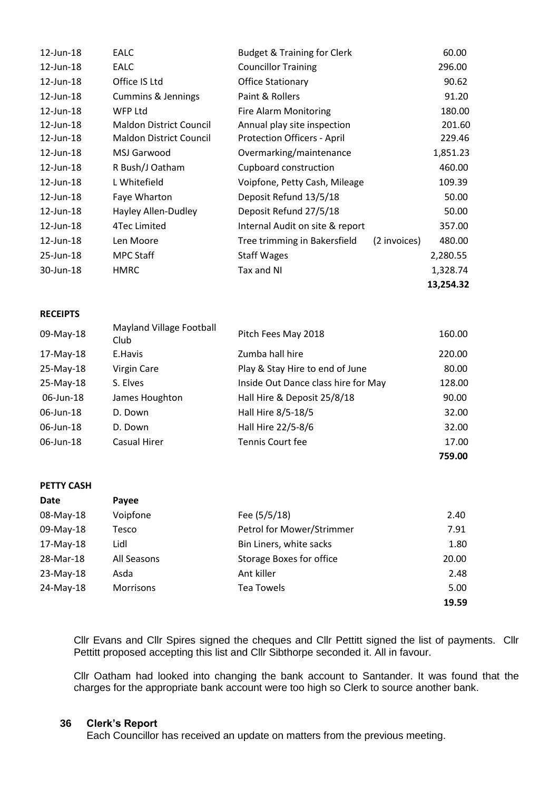| 12-Jun-18 | <b>EALC</b>                    | <b>Budget &amp; Training for Clerk</b> |              | 60.00     |
|-----------|--------------------------------|----------------------------------------|--------------|-----------|
| 12-Jun-18 | <b>EALC</b>                    | <b>Councillor Training</b>             |              | 296.00    |
| 12-Jun-18 | Office IS Ltd                  | <b>Office Stationary</b>               |              | 90.62     |
| 12-Jun-18 | <b>Cummins &amp; Jennings</b>  | Paint & Rollers                        |              | 91.20     |
| 12-Jun-18 | WFP Ltd                        | <b>Fire Alarm Monitoring</b>           |              | 180.00    |
| 12-Jun-18 | <b>Maldon District Council</b> | Annual play site inspection            |              | 201.60    |
| 12-Jun-18 | <b>Maldon District Council</b> | Protection Officers - April            |              | 229.46    |
| 12-Jun-18 | MSJ Garwood                    | Overmarking/maintenance                |              | 1,851.23  |
| 12-Jun-18 | R Bush/J Oatham                | Cupboard construction                  |              | 460.00    |
| 12-Jun-18 | L Whitefield                   | Voipfone, Petty Cash, Mileage          |              | 109.39    |
| 12-Jun-18 | Faye Wharton                   | Deposit Refund 13/5/18                 |              | 50.00     |
| 12-Jun-18 | Hayley Allen-Dudley            | Deposit Refund 27/5/18                 |              | 50.00     |
| 12-Jun-18 | 4Tec Limited                   | Internal Audit on site & report        |              | 357.00    |
| 12-Jun-18 | Len Moore                      | Tree trimming in Bakersfield           | (2 invoices) | 480.00    |
| 25-Jun-18 | MPC Staff                      | <b>Staff Wages</b>                     |              | 2,280.55  |
| 30-Jun-18 | <b>HMRC</b>                    | Tax and NI                             |              | 1,328.74  |
|           |                                |                                        |              | 13,254.32 |

#### **RECEIPTS**

| 09-May-18    | Mayland Village Football<br>Club | Pitch Fees May 2018                 | 160.00 |
|--------------|----------------------------------|-------------------------------------|--------|
| 17-May-18    | E.Havis                          | Zumba hall hire                     | 220.00 |
| 25-May-18    | Virgin Care                      | Play & Stay Hire to end of June     | 80.00  |
| 25-May-18    | S. Elves                         | Inside Out Dance class hire for May | 128.00 |
| 06-Jun-18    | James Houghton                   | Hall Hire & Deposit 25/8/18         | 90.00  |
| $06$ -Jun-18 | D. Down                          | Hall Hire 8/5-18/5                  | 32.00  |
| 06-Jun-18    | D. Down                          | Hall Hire 22/5-8/6                  | 32.00  |
| 06-Jun-18    | Casual Hirer                     | Tennis Court fee                    | 17.00  |
|              |                                  |                                     | 759.00 |

### **PETTY CASH**

| Date        | Payee       |                                 |       |
|-------------|-------------|---------------------------------|-------|
| 08-May-18   | Voipfone    | Fee (5/5/18)                    | 2.40  |
| 09-May-18   | Tesco       | Petrol for Mower/Strimmer       | 7.91  |
| 17-May-18   | Lidl        | Bin Liners, white sacks         | 1.80  |
| 28-Mar-18   | All Seasons | <b>Storage Boxes for office</b> | 20.00 |
| $23-May-18$ | Asda        | Ant killer                      | 2.48  |
| 24-May-18   | Morrisons   | <b>Tea Towels</b>               | 5.00  |
|             |             |                                 | 19.59 |

Cllr Evans and Cllr Spires signed the cheques and Cllr Pettitt signed the list of payments. Cllr Pettitt proposed accepting this list and Cllr Sibthorpe seconded it. All in favour.

Cllr Oatham had looked into changing the bank account to Santander. It was found that the charges for the appropriate bank account were too high so Clerk to source another bank.

### **36 Clerk's Report**

Each Councillor has received an update on matters from the previous meeting.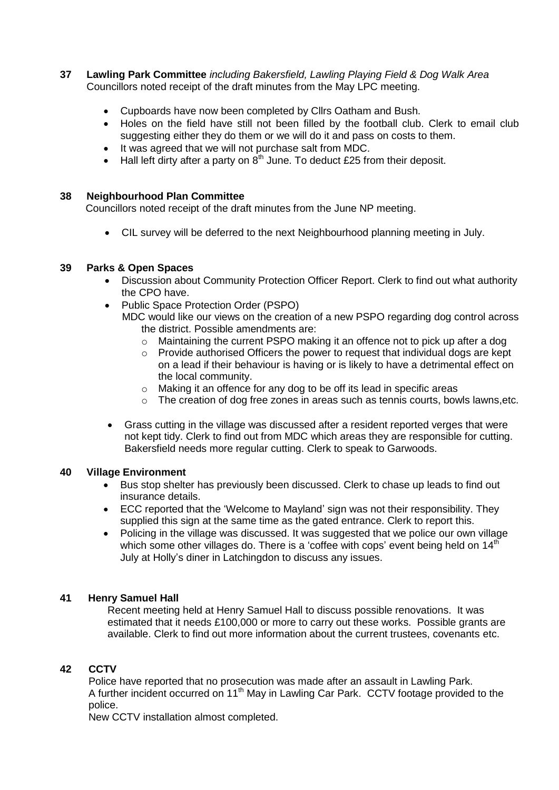- **37 Lawling Park Committee** *including Bakersfield, Lawling Playing Field & Dog Walk Area* Councillors noted receipt of the draft minutes from the May LPC meeting.
	- Cupboards have now been completed by Cllrs Oatham and Bush.
	- Holes on the field have still not been filled by the football club. Clerk to email club suggesting either they do them or we will do it and pass on costs to them.
	- It was agreed that we will not purchase salt from MDC.
	- Hall left dirty after a party on  $8<sup>th</sup>$  June. To deduct £25 from their deposit.

### **38 Neighbourhood Plan Committee**

Councillors noted receipt of the draft minutes from the June NP meeting.

CIL survey will be deferred to the next Neighbourhood planning meeting in July.

### **39 Parks & Open Spaces**

- Discussion about Community Protection Officer Report. Clerk to find out what authority the CPO have.
- Public Space Protection Order (PSPO) MDC would like our views on the creation of a new PSPO regarding dog control across the district. Possible amendments are:
	- $\circ$  Maintaining the current PSPO making it an offence not to pick up after a dog
	- $\circ$  Provide authorised Officers the power to request that individual dogs are kept on a lead if their behaviour is having or is likely to have a detrimental effect on the local community.
	- o Making it an offence for any dog to be off its lead in specific areas
	- $\circ$  The creation of dog free zones in areas such as tennis courts, bowls lawns, etc.
- Grass cutting in the village was discussed after a resident reported verges that were not kept tidy. Clerk to find out from MDC which areas they are responsible for cutting. Bakersfield needs more regular cutting. Clerk to speak to Garwoods.

### **40 Village Environment**

- Bus stop shelter has previously been discussed. Clerk to chase up leads to find out insurance details.
- ECC reported that the 'Welcome to Mayland' sign was not their responsibility. They supplied this sign at the same time as the gated entrance. Clerk to report this.
- Policing in the village was discussed. It was suggested that we police our own village which some other villages do. There is a 'coffee with cops' event being held on  $14<sup>th</sup>$ July at Holly's diner in Latchingdon to discuss any issues.

### **41 Henry Samuel Hall**

Recent meeting held at Henry Samuel Hall to discuss possible renovations. It was estimated that it needs £100,000 or more to carry out these works. Possible grants are available. Clerk to find out more information about the current trustees, covenants etc.

### **42 CCTV**

Police have reported that no prosecution was made after an assault in Lawling Park. A further incident occurred on 11<sup>th</sup> May in Lawling Car Park. CCTV footage provided to the police.

New CCTV installation almost completed.